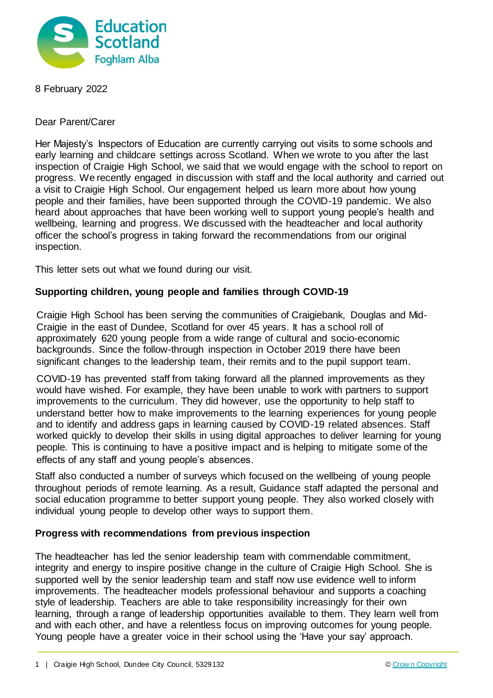

8 February 2022

Dear Parent/Carer

Her Majesty's Inspectors of Education are currently carrying out visits to some schools and early learning and childcare settings across Scotland. When we wrote to you after the last inspection of Craigie High School, we said that we would engage with the school to report on progress. We recently engaged in discussion with staff and the local authority and carried out a visit to Craigie High School. Our engagement helped us learn more about how young people and their families, have been supported through the COVID-19 pandemic. We also heard about approaches that have been working well to support young people's health and wellbeing, learning and progress. We discussed with the headteacher and local authority officer the school's progress in taking forward the recommendations from our original inspection.

This letter sets out what we found during our visit.

## **Supporting children, young people and families through COVID-19**

Craigie High School has been serving the communities of Craigiebank, Douglas and Mid-Craigie in the east of Dundee, Scotland for over 45 years. It has a school roll of approximately 620 young people from a wide range of cultural and socio-economic backgrounds. Since the follow-through inspection in October 2019 there have been significant changes to the leadership team, their remits and to the pupil support team.

COVID-19 has prevented staff from taking forward all the planned improvements as they would have wished. For example, they have been unable to work with partners to support improvements to the curriculum. They did however, use the opportunity to help staff to understand better how to make improvements to the learning experiences for young people and to identify and address gaps in learning caused by COVID-19 related absences. Staff worked quickly to develop their skills in using digital approaches to deliver learning for young people. This is continuing to have a positive impact and is helping to mitigate some of the effects of any staff and young people's absences.

Staff also conducted a number of surveys which focused on the wellbeing of young people throughout periods of remote learning. As a result, Guidance staff adapted the personal and social education programme to better support young people. They also worked closely with individual young people to develop other ways to support them.

## **Progress with recommendations from previous inspection**

The headteacher has led the senior leadership team with commendable commitment, integrity and energy to inspire positive change in the culture of Craigie High School. She is supported well by the senior leadership team and staff now use evidence well to inform improvements. The headteacher models professional behaviour and supports a coaching style of leadership. Teachers are able to take responsibility increasingly for their own learning, through a range of leadership opportunities available to them. They learn well from and with each other, and have a relentless focus on improving outcomes for young people. Young people have a greater voice in their school using the 'Have your say' approach.